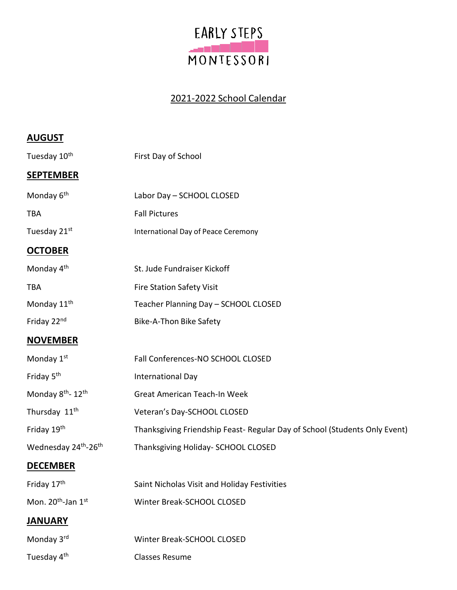

## 2021-2022 School Calendar

| <b>AUGUST</b>                                |                                                                            |
|----------------------------------------------|----------------------------------------------------------------------------|
| Tuesday 10 <sup>th</sup>                     | First Day of School                                                        |
| <b>SEPTEMBER</b>                             |                                                                            |
| Monday 6 <sup>th</sup>                       | Labor Day - SCHOOL CLOSED                                                  |
| <b>TBA</b>                                   | <b>Fall Pictures</b>                                                       |
| Tuesday 21st                                 | International Day of Peace Ceremony                                        |
| <b>OCTOBER</b>                               |                                                                            |
| Monday 4 <sup>th</sup>                       | St. Jude Fundraiser Kickoff                                                |
| <b>TBA</b>                                   | <b>Fire Station Safety Visit</b>                                           |
| Monday 11 <sup>th</sup>                      | Teacher Planning Day - SCHOOL CLOSED                                       |
| Friday 22nd                                  | Bike-A-Thon Bike Safety                                                    |
| <b>NOVEMBER</b>                              |                                                                            |
| Monday 1st                                   | Fall Conferences-NO SCHOOL CLOSED                                          |
| Friday 5 <sup>th</sup>                       | International Day                                                          |
| Monday 8 <sup>th</sup> - 12 <sup>th</sup>    | Great American Teach-In Week                                               |
| Thursday 11 <sup>th</sup>                    | Veteran's Day-SCHOOL CLOSED                                                |
| Friday 19th                                  | Thanksgiving Friendship Feast- Regular Day of School (Students Only Event) |
| Wednesday 24 <sup>th</sup> -26 <sup>th</sup> | Thanksgiving Holiday- SCHOOL CLOSED                                        |
| <b>DECEMBER</b>                              |                                                                            |
| Friday 17th                                  | Saint Nicholas Visit and Holiday Festivities                               |
| Mon. 20 <sup>th</sup> -Jan 1st               | Winter Break-SCHOOL CLOSED                                                 |
| <b>JANUARY</b>                               |                                                                            |
| Monday 3rd                                   | Winter Break-SCHOOL CLOSED                                                 |
| Tuesday 4 <sup>th</sup>                      | <b>Classes Resume</b>                                                      |